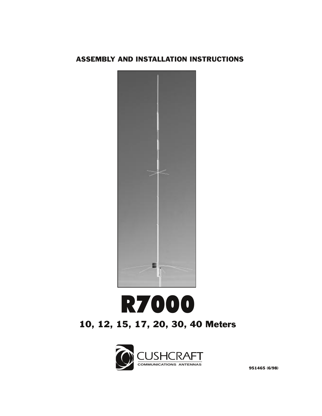### ASSEMBLY AND INSTALLATION INSTRUCTIONS



# **R7000** 10, 12, 15, 17, 20, 30, 40 Meters

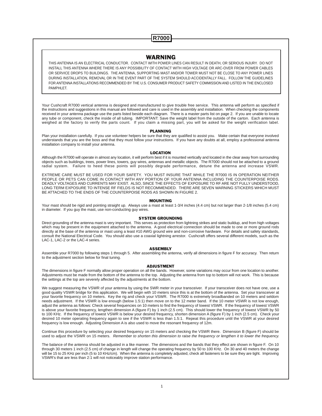### **R7000**

#### WARNING

THIS ANTENNA IS AN ELECTRICAL CONDUCTOR. CONTACT WITH POWER LINES CAN RESULT IN DEATH, OR SERIOUS INJURY. DO NOT INSTALL THIS ANTENNA WHERE THERE IS ANY POSSIBILITY OF CONTACT WITH HIGH VOLTAGE OR ARC-OVER FROM POWER CABLES OR SERVICE DROPS TO BUILDINGS. THE ANTENNA, SUPPORTING MAST AND/OR TOWER MUST NOT BE CLOSE TO ANY POWER LINES DURING INSTALLATION, REMOVAL OR IN THE EVENT PART OF THE SYSTEM SHOULD ACCIDENTALLY FALL. FOLLOW THE GUIDELINES FOR ANTENNA INSTALLATIONS RECOMMENDED BY THE U.S. CONSUMER PRODUCT SAFETY COMMISSION AND LISTED IN THE ENCLOSED PAMPHLET.

Your Cushcraft R7000 vertical antenna is designed and manufactured to give trouble free service. This antenna will perform as specified if the instructions and suggestions in this manual are followed and care is used in the assembly and installation. When checking the components received in your antenna package use the parts listed beside each diagram. There is a master parts list on page 2. If you are unable to locate any tube or component, check the inside of all tubing. IMPORTANT: Save the weight label from the outside of the carton. Each antenna is weighed at the factory to verify the parts count. If you claim a missing part, you will be asked for the weight verification label.

#### PLANNING

Plan your installation carefully. If you use volunteer helpers be sure that they are qualified to assist you. Make certain that everyone involved understands that you are the boss and that they must follow your instructions. If you have any doubts at all, employ a professional antenna installation company to install your antenna.

#### LOCATION

Although the R7000 will operate in almost any location, it will perform best if it is mounted vertically and located in the clear away from surrounding objects such as buildings, trees, power lines, towers, guy wires, antennas and metallic objects. The R7000 should not be attached to a ground radial system. Failure to heed these points will possibly degrade performance, detune the antenna and increase VSWR.

EXTREME CARE MUST BE USED FOR YOUR SAFETY. YOU MUST INSURE THAT WHILE THE R7000 IS IN OPERATION NEITHER PEOPLE OR PETS CAN COME IN CONTACT WITH ANY PORTION OF YOUR ANTENNA INCLUDING THE COUNTERPOISE RODS. DEADLY VOLTAGES AND CURRENTS MAY EXIST. ALSO, SINCE THE EFFECTS OF EXPOSURE TO RF ARE NOT FULLY UNDERSTOOD, LONG TERM EXPOSURE TO INTENSE RF FIELDS IS NOT RECOMMENDED. THERE ARE SEVEN WARNING STICKERS WHICH MUST BE ATTACHED TO THE ENDS OF THE COUNTERPOISE RODS AS SHOWN IN FIGURE 2.

#### MOUNTING

Your mast should be rigid and pointing straight up. Always use a mast at least 1-3/4 inches (4.4 cm) but not larger than 2-1/8 inches (5.4 cm) in diameter. If you guy the mast, use non-conducting guy wires.

#### SYSTEM GROUNDING

Direct grounding of the antenna mast is very important. This serves as protection from lightning strikes and static buildup, and from high voltages which may be present in the equipment attached to the antenna. A good electrical connection should be made to one or more ground rods directly at the base of the antenna or mast using a least #10 AWG ground wire and non-corrosive hardware. For details and safety standards, consult the National Electrical Code. You should also use a coaxial lightning arrestor. Cushcraft offers several different models, such as the LAC-1, LAC-2 or the LAC-4 series.

#### **ASSEMBLY**

Assemble your R7000 by following steps 1 through 5. After assembling the antenna, verify all dimensions in figure F for accuracy. Then return to the adjustment section below for final tuning.

#### ADJUSTMENT

The dimensions in figure F normally allow proper operation on all the bands. However, some variations may occur from one location to another. Adjustments must be made from the bottom of the antenna to the top. Adjusting the antenna from top to bottom will not work. This is because the settings at the top are severely affected by the adjustments at the bottom.

We suggest measuring the VSWR of your antenna by using the SWR meter in your transceiver. If your transceiver does not have one, use a good quality VSWR bridge for this application. We will begin with 10 meters since this is at the bottom of the antenna. Set your transceiver at your favorite frequency on 10 meters. Key the rig and check your VSWR. The R7000 is extremely broadbanded on 10 meters and seldom needs adjustment. If the VSWR is low enough (below 1.5:1) then move on to the 12 meter band. If the 10 meter VSWR is not low enough, adjust the antenna as follows: Check several frequencies on 10 meters to find the frequency of lowest VSWR. If the frequency of lowest VSWR is above your favorite frequency, lengthen dimension A (figure F) by 1 inch (2.5 cm). This should lower the frequency of lowest VSWR by 50 to 100 KHz. If the frequency of lowest VSWR is below your desired frequency, shorten dimension A (figure F) by 1 inch (2.5 cm). Check your desired 10 meter operating frequency again to see if the VSWR is less than 1.5:1. Repeat this procedure until the VSWR at your desired frequency is low enough. Adjusting Dimension A is also used to move the resonant frequency of 12m.

Continue this procedure by selecting your desired frequency on 15 meters and checking the VSWR there. Dimension B (figure F) should be used to adjust the VSWR on 15 meters. Remember to shorten this dimension to raise the frequency or lengthen it to lower the frequency.

The balance of the antenna should be adjusted in a like manner. The dimensions and the bands that they effect are shown in figure F. On 10 through 30 meters 1 inch (2.5 cm) of change in length will change the operating frequency by 50 to 100 KHz. On 30 and 40 meters the change will be 15 to 25 KHz per inch (5 to 10 KHz/cm). When the antenna is completely adjusted, check all fasteners to be sure they are tight. Improving VSWR's that are less than 2:1 will not noticeably improve station performance.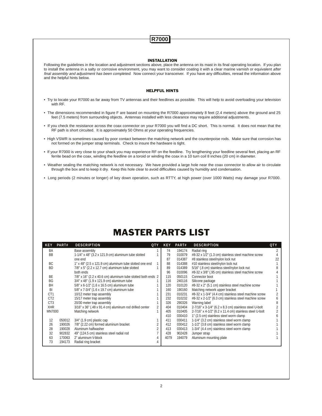### **R7000**

#### INSTALLATION

Following the guidelines in the location and adjustment sections above, place the antenna on its mast in its final operating location. If you plan to install the antenna in a salty or corrosive environment, you may want to consider coating it with a clear marine varnish or equivalent after final assembly and adjustment has been completed. Now connect your transceiver. If you have any difficulties, reread the information above and the helpful hints below.

#### HELPFUL HINTS

- Try to locate your R7000 as far away from TV antennas and their feedlines as possible. This will help to avoid overloading your television with RF.
- The dimensions recommended in figure F are based on mounting the R7000 approximately 8 feet (2.4 meters) above the ground and 25 feet (7.5 meters) from surrounding objects. Antennas installed with less clearance may require additional adjustments.
- If you check the resistance across the coax connector on your R7000 you will find a DC short. This is normal. It does not mean that the RF path is short circuited. It is approximately 50 Ohms at your operating frequencies.
- High VSWR is sometimes caused by poor contact between the matching network and the counterpoise rods. Make sure that corrosion has not formed on the jumper strap terminals. Check to insure the hardware is tight.
- If your R7000 is very close to your shack you may experience RF on the feedline. Try lengthening your feedline several feet, placing an RF ferrite bead on the coax, winding the feedline on a toroid or winding the coax in a 10 turn coil 8 inches (20 cm) in diameter.
- Weather sealing the matching network is not necessary. We have provided a large hole near the coax connector to allow air to circulate through the box and to keep it dry. Keep this hole clear to avoid difficulties caused by humidity and condensation.
- Long periods (2 minutes or longer) of key down operation, such as RTTY, at high power (over 1000 Watts) may damage your R7000.

# MASTER PARTS LIST

| <b>KEY</b>      | PART#  | <b>DESCRIPTION</b><br><b>QTY</b>                             |                | <b>KEY</b> | PART#  | <b>DESCRIPTION</b>                                      | <b>QTY</b> |
|-----------------|--------|--------------------------------------------------------------|----------------|------------|--------|---------------------------------------------------------|------------|
| BA              |        | Base assembly                                                |                | 74         | 194174 | Radial ring                                             |            |
| <b>BB</b>       |        | $1-1/4$ " x 48" (3.2 x 121.9 cm) aluminum tube slotted       |                | 79         | 010079 | #8-32 x 1/2" (1.3 cm) stainless steel machine screw     |            |
|                 |        | one end                                                      |                | 87         | 014387 | #8 stainless steel/nylon lock nut                       | 22         |
| BC              |        | 1" x 48" (2.5 x 121.9 cm) aluminum tube slotted one end      |                | 88         | 014388 | #10 stainless steel/nylon lock nut                      |            |
| <b>BD</b>       |        | $7/8"$ x 5" (2.2 x 12.7 cm) aluminum tube slotted            |                | 89         | 014389 | 5/16" (.8 cm) stainless steel/nylon lock nut            |            |
|                 |        | both ends                                                    |                | 96         | 010096 | #8-32 x 3/8" (.95 cm) stainless steel machine screw     |            |
| <b>BE</b>       |        | 7/8" x 16" (2.2 x 40.6 cm) aluminum tube slotted both ends 2 |                | 115        | 050115 | Connector boot                                          |            |
| <b>BG</b>       |        | 3/4" x 48" (1.9 x 121.9 cm) aluminum tube                    |                | 116        | 240116 | Silicone package                                        |            |
| BH              |        | 5/8" x 6-1/2" (1.6 x 16.5 cm) aluminum tube                  |                | 120        | 010120 | #8-32 x 2" (5.1 cm) stainless steel machine screw       |            |
| BI              |        | 5/8" x 7-3/4" (1.6 x 19.7 cm) aluminum tube                  |                | 160        | 190160 | Matching network upper bracket                          |            |
| CT <sub>1</sub> |        | 10/12 meter trap assembly                                    |                | 231        | 010231 | #8-32 x 1-3/4" (4.4 cm) stainless steel machine screw   |            |
| CT <sub>2</sub> |        | 15/17 meter trap assembly                                    |                | 232        | 010232 | #8-32 x 2-1/2" (6.3 cm) stainless steel machine screw   |            |
| CT <sub>3</sub> |        | 20/30 meter trap assembly                                    |                | 326        | 290326 | Warning label                                           |            |
| <b>XHR</b>      |        | 3/16" x 36" (.48 x 91.4 cm) aluminum rod drilled center      | $\overline{2}$ | 404        | 010404 | 2-7/16" x 3-1/4" (6.2 x 8.3 cm) stainless steel U-bolt  |            |
| <b>MN7000</b>   |        | Matching network                                             |                | 405        | 010405 | 2-7/16" x 4-1/2" (6.2 x 11.4 cm) stainless steel U-bolt |            |
|                 |        |                                                              |                | 410        | 030410 | 1" (2.5 cm) stainless steel worm clamp                  |            |
| 12              | 050012 | $3/4$ " (1.9 cm) plastic cap                                 |                | 411        | 030411 | 1-1/4" (3.2 cm) stainless steel worm clamp              |            |
| 26              | 190026 | 7/8" (2.22 cm) formed aluminum bracket                       |                | 412        | 030412 | 1-1/2" (3.8 cm) stainless steel worm clamp              |            |
| 28              | 190028 | Aluminum halfwasher                                          | $\overline{2}$ | 413        | 030413 | 1-3/4" (4.4 cm) stainless steel worm clamp              |            |
| 32              | 902832 | 49" (124.5 cm) stainless steel radial rod                    |                | 428        | 902428 | Jumper strap                                            |            |
| 63              | 170063 | 2" aluminum V-block                                          |                | 4079       | 194079 | Aluminum mounting plate                                 |            |
| 73              | 194173 | Radial ring bracket                                          |                |            |        |                                                         |            |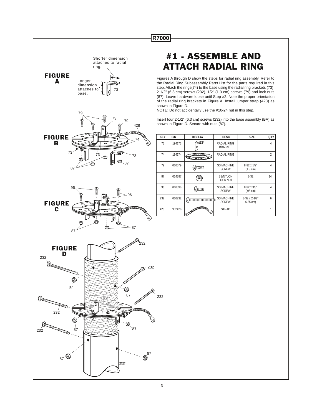

Shorter dimension attaches to radial

ring.

# #1 - ASSEMBLE AND ATTACH RADIAL RING

Figures A through D show the steps for radial ring assembly. Refer to the Radial Ring Subassembly Parts List for the parts required in this step. Attach the rings(74) to the base using the radial ring brackets (73), 2-1/2" (6.3 cm) screws (232), 1/2" (1.3 cm) screws (79) and lock nuts (87). Leave hardware loose until Step #2. Note the proper orientation of the radial ring brackets in Figure A. Install jumper strap (428) as shown in Figure D.

NOTE: Do not accidentally use the #10-24 nut in this step.

Insert four 2-1/2" (6.3 cm) screws (232) into the base assembly (BA) as shown in Figure D. Secure with nuts (87).

| <b>KEY</b> | P/N    | <b>DISPLAY</b> | <b>DESC</b>                       | <b>SIZE</b>               | <b>QTY</b> |
|------------|--------|----------------|-----------------------------------|---------------------------|------------|
| 73         | 194173 |                | RADIAL RING<br><b>BRACKET</b>     |                           | 4          |
| 74         | 194174 |                | <b>RADIAL RING</b>                |                           | 2          |
| 79         | 010079 | ממממו          | <b>SS MACHINE</b><br><b>SCREW</b> | 8-32 x 1/2"<br>(1.3 cm)   | 4          |
| 87         | 014387 |                | SS/NYLON<br><b>LOCK NUT</b>       | $8 - 32$                  | 14         |
| 96         | 010096 | ממממ           | <b>SS MACHINE</b><br><b>SCREW</b> | 8-32 x 3/8"<br>(.95 cm)   | 4          |
| 232        | 010232 | וווווווו       | <b>SS MACHINE</b><br><b>SCREW</b> | 8-32 x 2-1/2"<br>6.35 cm) | 6          |
| 428        | 902428 | 0.<br>Ć        | <b>STRAP</b>                      |                           | 1          |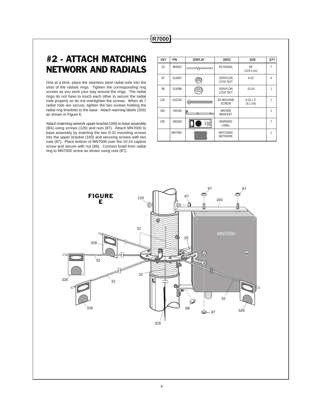### **R7000**

# #2 - ATTACH MATCHING NETWORK AND RADIALS

One at a time, place the stainless steel radial rods into the slots of the radials rings. Tighten the corresponding ring screws as you work your way around the rings. The radial rings do not have to touch each other to secure the radial rods properly so do not overtighten the screws. When all 7 radial rods are secure, tighten the two screws holding the radial ring brackets to the base. Attach warning labels (326) as shown in Figure E.

Attach matching network upper bracket (160) to base assembly (BA) using screws (120) and nuts (87). Attach MN7000 to base assembly by inserting the two 8-32 mounting screws into the upper bracket (160) and securing screws with two nuts (87). Place bottom of MN7000 over the 10-24 captive screw and secure with nut (88). Connect braid from radial ring to MN7000 screw as shown using nuts (87).

| <b>KEY</b> | P/N           | <b>DISPLAY</b> | <b>DESC</b>                        | <b>SIZE</b>                  | <b>QTY</b>     |
|------------|---------------|----------------|------------------------------------|------------------------------|----------------|
| 32         | 902832        |                | <b>SS RADIAL</b>                   | 49"<br>$(124.5 \text{ cm})$  | $\overline{7}$ |
| 87         | 014387        |                | <b>SS/NYLON</b><br><b>LOCK NUT</b> | $8 - 32$                     | $\overline{4}$ |
| 88         | 014388        |                | <b>SS/NYLON</b><br><b>LOCK NUT</b> | $10 - 24$                    | 1              |
| 120        | 010120        |                | <b>SS MACHINE</b><br><b>SCREW</b>  | $8-32 \times 2"$<br>(5.1 cm) | 1              |
| 160        | 190160        | -<br>5         | <b>MN7000</b><br><b>BRACKET</b>    |                              | 1              |
| 326        | 290326        |                | <b>WARNING</b><br>LABEL            |                              | $\overline{7}$ |
|            | <b>MN7000</b> |                | <b>MATCHING</b><br><b>NETWORK</b>  |                              | 1              |

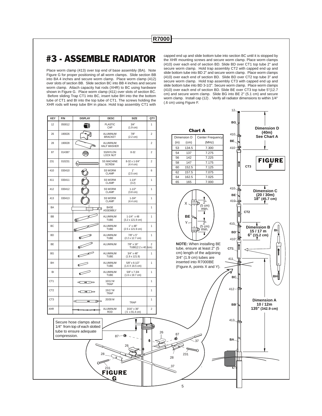### #3 - ASSEMBLE RADIATOR

Place worm clamp (413) over top end of base assembly (BA). Note Figure G for proper positioning of all worm clamps. Slide section BB into BA 4 inches and secure worm clamp. Place worm clamp (412) over slots of section BB. Slide section BC into BB 4 inches and secure worm clamp. Attach capacity hat rods (XHR) to BC using hardware shown in Figure G. Place worm clamp (411) over slots of section BC. Before sliding Trap CT1 into BC, insert tube BH into the the bottom tube of CT1 and BI into the top tube of CT1. The screws holding the XHR rods will keep tube BH in place. Hold trap assembly CT1 with

12 050012 **CAP** PLASTIC  $\begin{array}{|c|c|c|c|c|} \hline \text{PLASTIC} & \text{3/4}^{\text{T}} & 1 \\ \hline \end{array}$  $3/4$ "<br>(1.9 cm) 26 | 190026 | صحيح | ALUMINUM | 7/8" | 2 BRACKET (2.2 cm) 28 190028  $\sim$  ALUMINUM  $\sim$ HALF WASHER 87 | 014387 | GO | SS/NYLON | 8-32 | 2 LOCK NUT 231 010231  $\sum_{\text{SCREW}}$  SS MACHINE 8-32 x 1-3/4" 2  $(4.4 \text{ cm})$ 410 030410 **1** SS WORM 1" 6  $(2.5 \text{ cm})$ 411 | 030411 | @ | SSWORM | 1-1/4" | 1 CLAMP (3.2) 412 | 030412 | 86 | SSWORM | 1-1/2" | 1 CLAMP (3.8 cm) 413 030413  $\left[\begin{array}{c|c}\n\bullet \\
\bullet \\
\bullet \\
\bullet \\
\bullet \\
\bullet \\
\bullet \\
\bullet \\
\bullet \\
\bullet\n\end{array}\right]$  SSWORM  $\left[\begin{array}{c} 1-3/4 \\
-3/4 \\
1/4 \text{ cm} \end{array}\right]$  1  $(4.4 \text{ cm})$ BA | <del>| | | | | | |</del> BASE | | | | | | | ASSEMBLY  $\overline{BE}$  ALUMINUM 1-1/4" x 48 1<br>TUBE (3.2 x 121.9 cm)  $BC$   $ALUMINUM$   $1" x 48"$  1  $(2.5 \times 121.9 \text{ cm})$  $BD$  **ALUMINUM**  $7/8" \times 5"$  1  $(2.2 \times 12.7 \text{ cm})$ BE  $AB = 2$ <br> $T \times 16" = 2$ <br> $T \times 16" = 2$ <br> $T \times 16" = 2$  $TIIBF(2.2 \times 40^{-6})$  $\overline{BC}$  **BG**  $ABYX4BY = 3/4YX4BY = 1$  $(1.9 \times 121.9)$ BH ALUMINUM 5/8" x 6-1/2" 1 TUBE (1.6 X 16.5 cm)  $\overline{B1}$   $\overline{C2}$   $\overline{A L U MINI U M}$   $\overline{5/8" \times 7 \cdot 3/4}$  1  $(1.6 \times 19.7 \text{ cm})$ CT1 10/12 M 1 TRAP CT2 15/17 M 1 **TRAP** CT3 20/30 M 1 TRAP XHR ALUMINUM 3/16" x 36" 2 ROD (.5 x 91.4 cm) KEY | P/N | DISPLAY | DESC | SIZE |QTY

231

FIGURE G

28

Secure hose clamps about 1/4" from top of each slotted tube to ensure adequate compression.

26

capped end up and slide bottom tube into section BC until it is stopped by the XHR mounting screws and secure worm clamp. Place worm clamps (410) over each end of section BD. Slide BD over CT1 top tube 2" and secure worm clamp. Hold trap assembly CT2 with capped end up and slide bottom tube into BD 2" and secure worm clamp. Place worm clamps (410) over each end of section BD. Slide BD over CT2 top tube 3" and secure worm clamp. Hold trap assembly CT3 with capped end up and slide bottom tube into BD 3-1/2". Secure worm clamp. Place worm clamps (410) over each end of section BD. Slide BE over CT3 top tube 5"(12.7 cm) and secure worm clamp. Slide BG into BE 2" (5.1 cm) and secure worm clamp. Install cap (12) . Verify all radiator dimensions to within 1/4" (.6 cm) using Figure F.

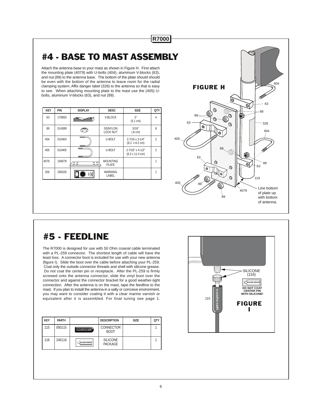# #4 - BASE TO MAST ASSEMBLY

**R7000**

Attach the antenna base to your mast as shown in Figure H. First attach the mounting plate (4079) with U-bolts (404), aluminum V-blocks (63), and nut (89) to the antenna base. The bottom of the plate should should be even with the bottom of the antenna to leave room for the radial clamping system. Affix danger label (326) to the antenna so that is easy to see. When attaching mounting plate to the mast use the (405) Ubolts, aluminum V-blocks (63), and nut (89).

| <b>KEY</b> | P/N    | <b>DISPLAY</b>                                                                                | <b>DESC</b>                        | <b>SIZE</b>                                        | <b>QTY</b>     |
|------------|--------|-----------------------------------------------------------------------------------------------|------------------------------------|----------------------------------------------------|----------------|
| 63         | 170063 |                                                                                               | V-BLOCK                            | 2"<br>(5.1 cm)                                     | 4              |
| 89         | 014389 |                                                                                               | <b>SS/NYLON</b><br><b>LOCK NUT</b> | 5/16"<br>(.8 cm)                                   | 8              |
| 404        | 010404 | 49, 99, 99, 99, 99<br><b>STATE</b>                                                            | U-BOLT                             | 2-7/16 x 3-1/4"<br>$(6.2 \times 8.2 \text{ cm})$   | $\overline{2}$ |
| 405        | 010405 | <b>CONTRACT</b><br>ann                                                                        | U-BOLT                             | 2-7/16" x 4-1/2"<br>$(6.2 \times 11.4 \text{ cm})$ | 2              |
| 4079       | 194079 | ᇹᇹ<br>$\overline{\phantom{0}}\circ\overline{\phantom{0}}$<br>$\sim$ $\sim$<br>$\circ$ $\circ$ | <b>MOUNTING</b><br><b>PLATE</b>    |                                                    |                |
| 326        | 290326 |                                                                                               | <b>WARNING</b><br>LABEL            |                                                    |                |



### #5 - FEEDLINE

The R7000 is designed for use with 50 Ohm coaxial cable terminated with a PL-259 connector. The shortest length of cable will have the least loss. A connector boot is included for use with your new antenna (figure I). Slide the boot over the cable before attaching your PL-259. Coat only the outside connector threads and shell with silicone grease. Do not coat the center pin or receptacle. After the PL-259 is firmly screwed onto the antenna connector, slide the vinyl boot over the connector and against the connector bracket for a good weather-tight connection. After the antenna is on the mast, tape the feedline to the mast. If you plan to install the antenna in a salty or corrosive environment, you may want to consider coating it with a clear marine varnish or equivalent after it is assembled. For final tuning see page 1.

| <b>KEY</b> | PART#  |                        | <b>DESCRIPTION</b>                | <b>SIZE</b> | <b>OTY</b> |
|------------|--------|------------------------|-----------------------------------|-------------|------------|
| 115        | 050115 | cushcraft <sup>1</sup> | <b>CONNECTOR</b><br><b>BOOT</b>   |             |            |
| 116        | 240116 | SILICONE GREASE        | <b>SILICONE</b><br><b>PACKAGE</b> |             |            |